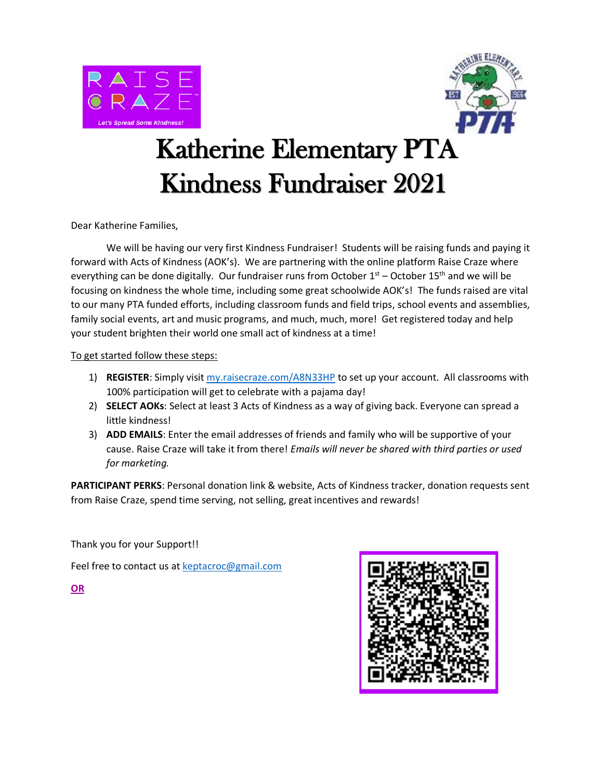



## Katherine Elementary PTA Kindness Fundraiser 2021

Dear Katherine Families,

We will be having our very first Kindness Fundraiser! Students will be raising funds and paying it forward with Acts of Kindness (AOK's). We are partnering with the online platform Raise Craze where everything can be done digitally. Our fundraiser runs from October  $1<sup>st</sup>$  – October  $15<sup>th</sup>$  and we will be focusing on kindness the whole time, including some great schoolwide AOK's! The funds raised are vital to our many PTA funded efforts, including classroom funds and field trips, school events and assemblies, family social events, art and music programs, and much, much, more! Get registered today and help your student brighten their world one small act of kindness at a time!

To get started follow these steps:

- 1) **REGISTER**: Simply visit [my.raisecraze.com/A8N33HP](https://my.raisecraze.com/app/join/A8N33HP) to set up your account. All classrooms with 100% participation will get to celebrate with a pajama day!
- 2) **SELECT AOKs**: Select at least 3 Acts of Kindness as a way of giving back. Everyone can spread a little kindness!
- 3) **ADD EMAILS**: Enter the email addresses of friends and family who will be supportive of your cause. Raise Craze will take it from there! *Emails will never be shared with third parties or used for marketing.*

**PARTICIPANT PERKS**: Personal donation link & website, Acts of Kindness tracker, donation requests sent from Raise Craze, spend time serving, not selling, great incentives and rewards!

Thank you for your Support!!

Feel free to contact us a[t keptacroc@gmail.com](mailto:keptacroc@gmail.com?subject=Read-a-thon%202021)

**OR**